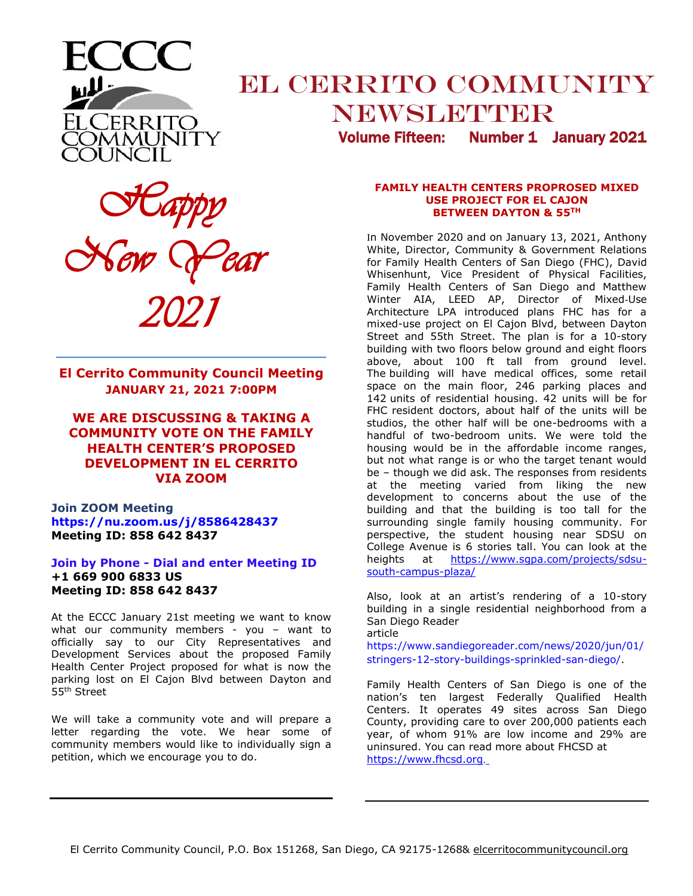

# **EL CERRITO COMMUNITY** NEWSLETTER

Volume Fifteen: Number 1 January 2021

 *Happy New Year 2021*

**El Cerrito Community Council Meeting JANUARY 21, 2021 7:00PM** 

**\_\_\_\_\_\_\_\_\_\_\_\_\_\_\_\_\_\_\_\_\_\_\_\_\_\_\_\_\_\_\_\_\_\_\_\_\_\_\_\_\_\_\_\_\_\_\_\_**

**WE ARE DISCUSSING & TAKING A COMMUNITY VOTE ON THE FAMILY HEALTH CENTER'S PROPOSED DEVELOPMENT IN EL CERRITO VIA ZOOM**

**Join ZOOM Meeting https://nu.zoom.us/j/8586428437 Meeting ID: 858 642 8437** 

#### **Join by Phone - Dial and enter Meeting ID +1 669 900 6833 US Meeting ID: 858 642 8437**

At the ECCC January 21st meeting we want to know what our community members - you - want to officially say to our City Representatives and Development Services about the proposed Family Health Center Project proposed for what is now the parking lost on El Cajon Blvd between Dayton and 55th Street

We will take a community vote and will prepare a letter regarding the vote. We hear some of community members would like to individually sign a petition, which we encourage you to do.

#### **FAMILY HEALTH CENTERS PROPROSED MIXED USE PROJECT FOR EL CAJON BETWEEN DAYTON & 55TH**

In November 2020 and on January 13, 2021, Anthony White, Director, Community & Government Relations for Family Health Centers of San Diego (FHC), David Whisenhunt, Vice President of Physical Facilities, Family Health Centers of San Diego and Matthew Winter AIA, LEED AP, Director of Mixed-Use Architecture LPA introduced plans FHC has for a mixed-use project on El Cajon Blvd, between Dayton Street and 55th Street. The plan is for a 10-story building with two floors below ground and eight floors above, about 100 ft tall from ground level. The building will have medical offices, some retail space on the main floor, 246 parking places and 142 units of residential housing. 42 units will be for FHC resident doctors, about half of the units will be studios, the other half will be one-bedrooms with a handful of two-bedroom units. We were told the housing would be in the affordable income ranges, but not what range is or who the target tenant would be – though we did ask. The responses from residents at the meeting varied from liking the new development to concerns about the use of the building and that the building is too tall for the surrounding single family housing community. For perspective, the student housing near SDSU on College Avenue is 6 stories tall. You can look at the heights at https://www.sqpa.com/projects/sdsu[south-campus-plaza/](https://www.sgpa.com/projects/sdsu-south-campus-plaza/)

Also, look at an artist's rendering of a 10-story building in a single residential neighborhood from a San Diego Reader article

https://www.sandiegoreader.com/news/2020/jun/01/ stringers-12-story-buildings-sprinkled-san-diego/.

Family Health Centers of San Diego is one of the nation's ten largest Federally Qualified Health Centers. It operates 49 sites across San Diego County, providing care to over 200,000 patients each year, of whom 91% are low income and 29% are uninsured. You can read more about FHCSD at [https://www.fhcsd.org](https://www.fhcsd.org/).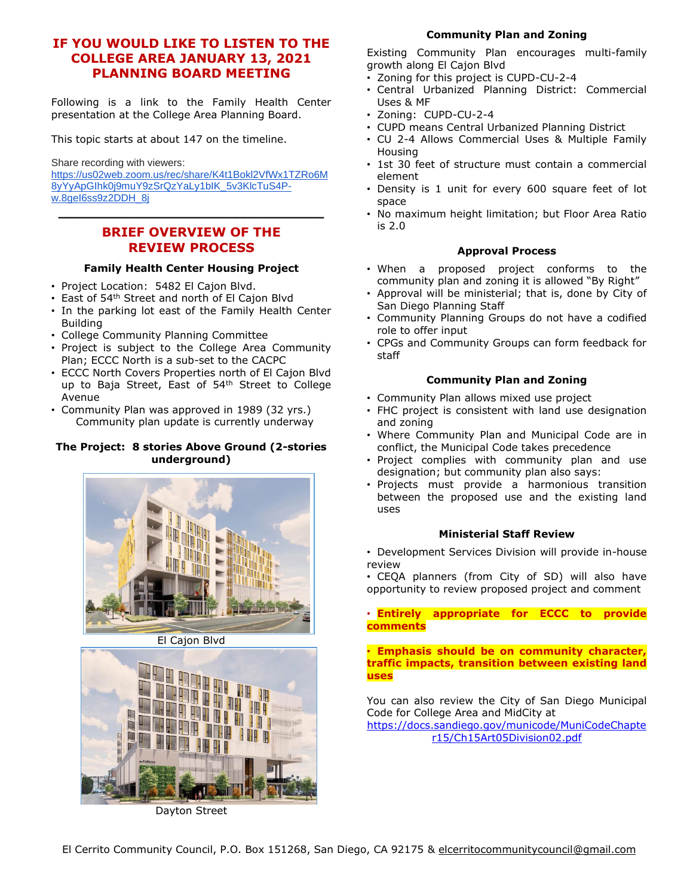# **IF YOU WOULD LIKE TO LISTEN TO THE COLLEGE AREA JANUARY 13, 2021 PLANNING BOARD MEETING**

Following is a link to the Family Health Center presentation at the College Area Planning Board.

This topic starts at about 147 on the timeline.

Share recording with viewers:

[https://us02web.zoom.us/rec/share/K4t1Bokl2VfWx1TZRo6M](https://us02web.zoom.us/rec/share/K4t1Bokl2VfWx1TZRo6M8yYyApGIhk0j9muY9zSrQzYaLy1bIK_5v3KlcTuS4P-w.8geI6ss9z2DDH_8j) [8yYyApGIhk0j9muY9zSrQzYaLy1bIK\\_5v3KlcTuS4P](https://us02web.zoom.us/rec/share/K4t1Bokl2VfWx1TZRo6M8yYyApGIhk0j9muY9zSrQzYaLy1bIK_5v3KlcTuS4P-w.8geI6ss9z2DDH_8j)[w.8geI6ss9z2DDH\\_8j](https://us02web.zoom.us/rec/share/K4t1Bokl2VfWx1TZRo6M8yYyApGIhk0j9muY9zSrQzYaLy1bIK_5v3KlcTuS4P-w.8geI6ss9z2DDH_8j) **\_\_\_\_\_\_\_\_\_\_\_\_\_\_\_\_\_\_\_\_\_\_\_\_\_\_\_\_\_\_**

# **BRIEF OVERVIEW OF THE REVIEW PROCESS**

#### **Family Health Center Housing Project**

- Project Location: 5482 El Cajon Blvd.
- East of 54th Street and north of El Cajon Blvd
- In the parking lot east of the Family Health Center Building
- College Community Planning Committee
- Project is subject to the College Area Community Plan; ECCC North is a sub-set to the CACPC
- ECCC North Covers Properties north of El Cajon Blvd up to Baja Street, East of 54<sup>th</sup> Street to College Avenue
- Community Plan was approved in 1989 (32 yrs.) Community plan update is currently underway

#### **The Project: 8 stories Above Ground (2-stories underground)**



El Cajon Blvd



Dayton Street

## **Community Plan and Zoning**

Existing Community Plan encourages multi-family growth along El Cajon Blvd

- Zoning for this project is CUPD-CU-2-4
- Central Urbanized Planning District: Commercial Uses & MF
- Zoning: CUPD-CU-2-4
- CUPD means Central Urbanized Planning District
- CU 2-4 Allows Commercial Uses & Multiple Family Housing
- 1st 30 feet of structure must contain a commercial element
- Density is 1 unit for every 600 square feet of lot space
- No maximum height limitation; but Floor Area Ratio is 2.0

#### **Approval Process**

- When a proposed project conforms to the community plan and zoning it is allowed "By Right"
- Approval will be ministerial; that is, done by City of San Diego Planning Staff
- Community Planning Groups do not have a codified role to offer input
- CPGs and Community Groups can form feedback for staff

#### **Community Plan and Zoning**

- Community Plan allows mixed use project
- FHC project is consistent with land use designation and zoning
- Where Community Plan and Municipal Code are in conflict, the Municipal Code takes precedence
- Project complies with community plan and use designation; but community plan also says:
- Projects must provide a harmonious transition between the proposed use and the existing land uses

#### **Ministerial Staff Review**

- Development Services Division will provide in-house review
- CEQA planners (from City of SD) will also have opportunity to review proposed project and comment

#### • **Entirely appropriate for ECCC to provide comments**

#### • **Emphasis should be on community character, traffic impacts, transition between existing land uses**

You can also review the City of San Diego Municipal Code for College Area and MidCity at

[https://docs.sandiego.gov/municode/MuniCodeChapte](https://docs.sandiego.gov/municode/MuniCodeChapter15/Ch15Art05Division02.pdf) [r15/Ch15Art05Division02.pdf](https://docs.sandiego.gov/municode/MuniCodeChapter15/Ch15Art05Division02.pdf)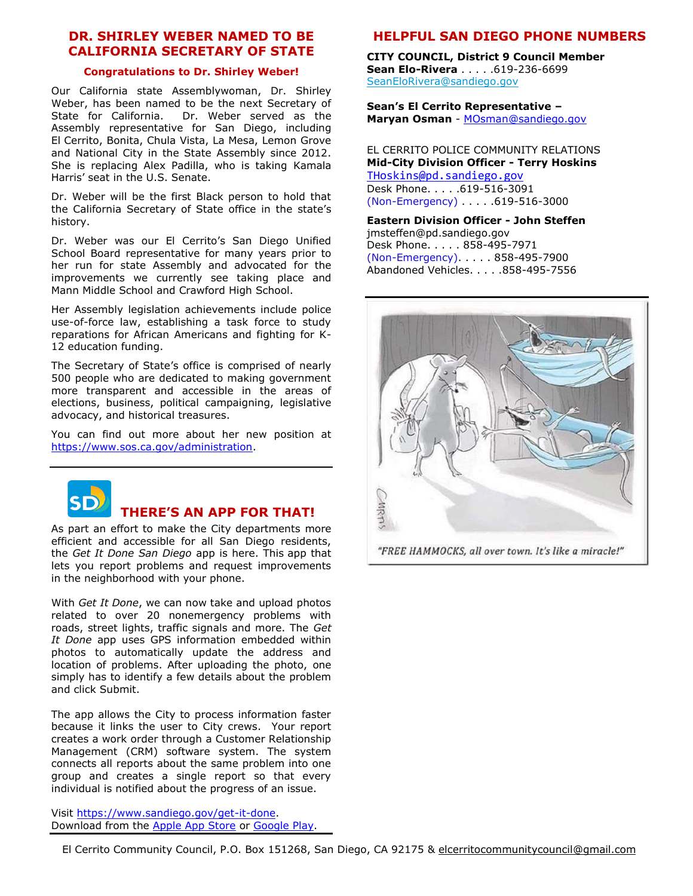# **DR. SHIRLEY WEBER NAMED TO BE CALIFORNIA SECRETARY OF STATE**

#### **Congratulations to Dr. Shirley Weber!**

Our California state Assemblywoman, Dr. Shirley Weber, has been named to be the next Secretary of State for California. Dr. Weber served as the Assembly representative for San Diego, including El Cerrito, Bonita, Chula Vista, La Mesa, Lemon Grove and National City in the State Assembly since 2012. She is replacing Alex Padilla, who is taking Kamala Harris' seat in the U.S. Senate.

Dr. Weber will be the first Black person to hold that the California Secretary of State office in the state's history.

Dr. Weber was our El Cerrito's San Diego Unified School Board representative for many years prior to her run for state Assembly and advocated for the improvements we currently see taking place and Mann Middle School and Crawford High School.

Her Assembly legislation achievements include police use-of-force law, establishing a task force to study reparations for African Americans and fighting for K-12 education funding.

The Secretary of State's office is comprised of nearly 500 people who are dedicated to making government more transparent and accessible in the areas of elections, business, political campaigning, legislative advocacy, and historical treasures.

You can find out more about her new position at [https://www.sos.ca.gov/administration.](https://www.sos.ca.gov/administration)



## **THERE'S AN APP FOR THAT!**

As part an effort to make the City departments more efficient and accessible for all San Diego residents, the *Get It Done San Diego* app is here. This app that lets you report problems and request improvements in the neighborhood with your phone.

With *Get It Done*, we can now take and upload photos related to over 20 nonemergency problems with roads, street lights, traffic signals and more. The *Get It Done* app uses GPS information embedded within photos to automatically update the address and location of problems. After uploading the photo, one simply has to identify a few details about the problem and click Submit.

The app allows the City to process information faster because it links the user to City crews. Your report creates a work order through a Customer Relationship Management (CRM) software system. The system connects all reports about the same problem into one group and creates a single report so that every individual is notified about the progress of an issue.

Visit [https://www.sandiego.gov/get-it-done.](https://www.sandiego.gov/get-it-done) Download from the [Apple App Store](https://itunes.apple.com/us/app/san-diego-311/id1065050595?ls=1&mt=8) or [Google Play.](https://play.google.com/store/apps/details?id=com.connectedbits.sd311)

# **HELPFUL SAN DIEGO PHONE NUMBERS**

**CITY COUNCIL, District 9 Council Member Sean Elo-Rivera** . . . . . 619-236-6699 [SeanEloRivera@sandiego.gov](mailto:SeanEloRivera@sandiego.gov)

**Sean's El Cerrito Representative – Maryan Osman** - [MOsman@sandiego.gov](mailto:MOsman@sandiego.gov)

EL CERRITO POLICE COMMUNITY RELATIONS **Mid-City Division Officer - Terry Hoskins** [THoskins@pd.sandiego.gov](mailto:THoskins@pd.sandiego.gov) Desk Phone. . . . .619-516-3091 (Non-Emergency) . . . . .619-516-3000

**Eastern Division Officer - John Steffen** jmsteffen@pd.sandiego.gov Desk Phone. . . . . 858-495-7971

(Non-Emergency). . . . . 858-495-7900 Abandoned Vehicles. . . . .858-495-7556



El Cerrito Community Council, P.O. Box 151268, San Diego, CA 92175 & elcerritocommunitycouncil@gmail.com